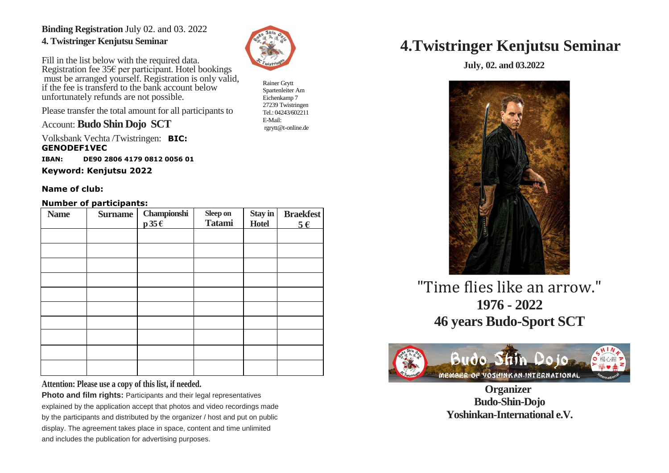### **Binding Registration** July 02. and 03. 2022 **4. Twistringer Kenjutsu Seminar**

Fill in the list below with the required data. Registration fee 35€ per participant. Hotel bookings must be arranged yourself. Registration is only valid, if the fee is transferd to the bank account below unfortunately refunds are not possible.

Please transfer the total amount for all participants to

Account: **Budo Shin Dojo SCT**

Volksbank Vechta /Twistringen: **BIC: GENODEF1VEC**

**IBAN: DE90 2806 4179 0812 0056 01** 

**Keyword: Kenjutsu 2022**

#### **Name of club:**

#### **Number of participants:**

| <b>Name</b> | .<br><b>Surname</b> | Championshi<br>$p 35 \in$ | Sleep on<br><b>Tatami</b> | Stay in<br><b>Hotel</b> | <b>Braekfest</b><br>$5 \in$ |
|-------------|---------------------|---------------------------|---------------------------|-------------------------|-----------------------------|
|             |                     |                           |                           |                         |                             |
|             |                     |                           |                           |                         |                             |
|             |                     |                           |                           |                         |                             |
|             |                     |                           |                           |                         |                             |
|             |                     |                           |                           |                         |                             |
|             |                     |                           |                           |                         |                             |
|             |                     |                           |                           |                         |                             |
|             |                     |                           |                           |                         |                             |
|             |                     |                           |                           |                         |                             |
|             |                     |                           |                           |                         |                             |

**Attention: Please use a copy of this list, if needed.**

**Photo and film rights: Participants and their legal representatives** explained by the application accept that photos and video recordings made by the participants and distributed by the organizer / host and put on public display. The agreement takes place in space, content and time unlimited and includes the publication for advertising purposes.



Rainer Grytt Spartenleiter Am Eichenkamp 7 27239 Twistringen Tel.: 04243/602211 E-Mail: rgrytt@t-online.de

# **4.Twistringer Kenjutsu Seminar**

 **July, 02. and 03.2022**



"Time flies like an arrow." **1976 - 2022 46 years Budo-Sport SCT** 



 **Organizer Budo-Shin-Dojo Yoshinkan-International e.V.**